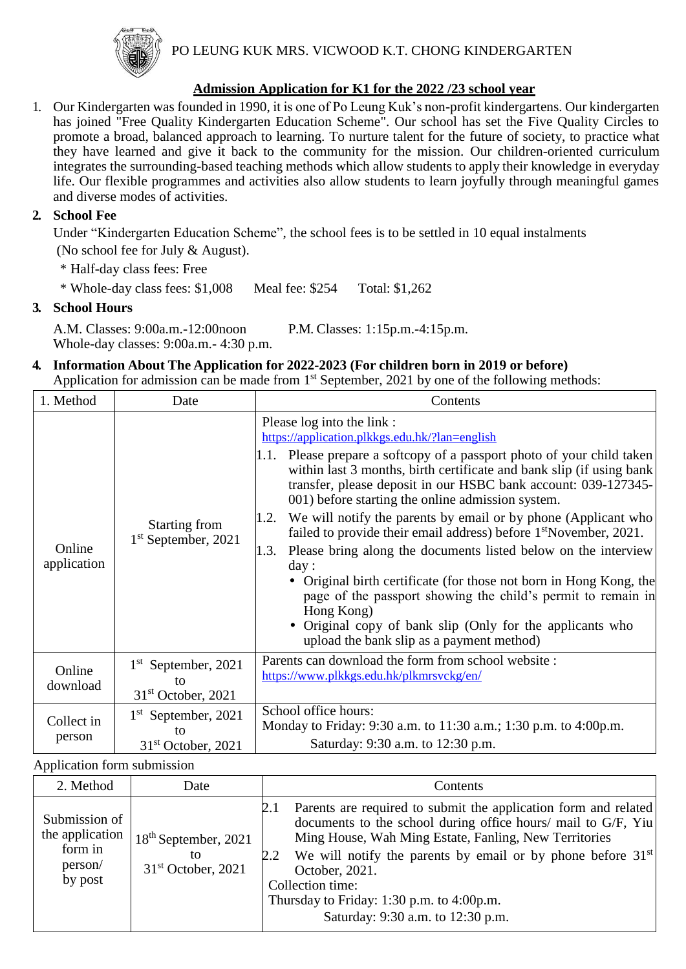

PO LEUNG KUK MRS. VICWOOD K.T. CHONG KINDERGARTEN

#### **Admission Application for K1 for the 2022 /23 school year**

1. Our Kindergarten was founded in 1990, it is one of Po Leung Kuk's non-profit kindergartens. Our kindergarten has joined "Free Quality Kindergarten Education Scheme". Our school has set the Five Quality Circles to promote a broad, balanced approach to learning. To nurture talent for the future of society, to practice what they have learned and give it back to the community for the mission. Our children-oriented curriculum integrates the surrounding-based teaching methods which allow students to apply their knowledge in everyday life. Our flexible programmes and activities also allow students to learn joyfully through meaningful games and diverse modes of activities.

#### **2. School Fee**

Under "Kindergarten Education Scheme", the school fees is to be settled in 10 equal instalments (No school fee for July & August).

\* Half-day class fees: Free

\* Whole-day class fees: \$1,008 Meal fee: \$254 Total: \$1,262

#### **3. School Hours**

A.M. Classes: 9:00a.m.-12:00noon P.M. Classes: 1:15p.m.-4:15p.m. Whole-day classes: 9:00a.m.- 4:30 p.m.

#### **4. Information About The Application for 2022-2023 (For children born in 2019 or before)** Application for admission can be made from 1<sup>st</sup> September, 2021 by one of the following methods:

| 1. Method             | Date                                                | Contents                                                                                                                                                                                                                                                                                                                                                                                                                                                                                                                                                                                                                                                                                                                                                                                                                                                         |
|-----------------------|-----------------------------------------------------|------------------------------------------------------------------------------------------------------------------------------------------------------------------------------------------------------------------------------------------------------------------------------------------------------------------------------------------------------------------------------------------------------------------------------------------------------------------------------------------------------------------------------------------------------------------------------------------------------------------------------------------------------------------------------------------------------------------------------------------------------------------------------------------------------------------------------------------------------------------|
| Online<br>application | Starting from<br>$1st$ September, 2021              | Please log into the link :<br>https://application.plkkgs.edu.hk/?lan=english<br>1.1. Please prepare a softcopy of a passport photo of your child taken<br>within last 3 months, birth certificate and bank slip (if using bank<br>transfer, please deposit in our HSBC bank account: 039-127345-<br>001) before starting the online admission system.<br>We will notify the parents by email or by phone (Applicant who<br>1.2.<br>failed to provide their email address) before 1 <sup>st</sup> November, 2021.<br>Please bring along the documents listed below on the interview<br>1.3.<br>day:<br>• Original birth certificate (for those not born in Hong Kong, the<br>page of the passport showing the child's permit to remain in<br>Hong Kong)<br>• Original copy of bank slip (Only for the applicants who<br>upload the bank slip as a payment method) |
| Online<br>download    | $1st$ September, 2021<br>to<br>$31st$ October, 2021 | Parents can download the form from school website:<br>https://www.plkkgs.edu.hk/plkmrsvckg/en/                                                                                                                                                                                                                                                                                                                                                                                                                                                                                                                                                                                                                                                                                                                                                                   |
| Collect in<br>person  | $1st$ September, 2021<br>to<br>$31st$ October, 2021 | School office hours:<br>Monday to Friday: 9:30 a.m. to 11:30 a.m.; 1:30 p.m. to 4:00 p.m.<br>Saturday: 9:30 a.m. to 12:30 p.m.                                                                                                                                                                                                                                                                                                                                                                                                                                                                                                                                                                                                                                                                                                                                   |

#### Application form submission

| 2. Method                                                         | Date                                                 | Contents                                                                                                                                                                                                                                                                                                                                                                                  |
|-------------------------------------------------------------------|------------------------------------------------------|-------------------------------------------------------------------------------------------------------------------------------------------------------------------------------------------------------------------------------------------------------------------------------------------------------------------------------------------------------------------------------------------|
| Submission of<br>the application<br>form in<br>person/<br>by post | $18th$ September, 2021<br>tο<br>$31st$ October, 2021 | Parents are required to submit the application form and related<br>documents to the school during office hours/ mail to G/F, Yiu<br>Ming House, Wah Ming Estate, Fanling, New Territories<br>We will notify the parents by email or by phone before $31st$<br>2.2<br>October, 2021.<br>Collection time:<br>Thursday to Friday: 1:30 p.m. to 4:00p.m.<br>Saturday: 9:30 a.m. to 12:30 p.m. |